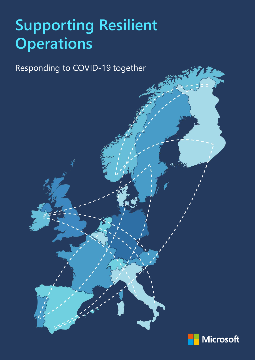# **Supporting Resilient Operations**

Responding to COVID-19 together

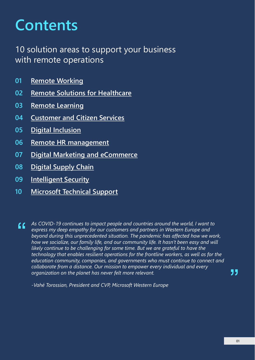# **Contents**

10 solution areas to support your business with remote operations

- **01 [Remote Working](#page-3-0)**
- **02 [Remote Solutions for Healthcare](#page-4-0)**
- **03 [Remote Learning](#page-5-0)**
- **04 [Customer and Citizen Services](#page-6-0)**
- **05 [Digital Inclusion](#page-7-0)**
- **06 [Remote HR management](#page-8-0)**
- **07 [Digital Marketing and eCommerce](#page-9-0)**
- **08 [Digital Supply Chain](#page-10-0)**
- **09 [Intelligent Security](#page-11-0)**
- **10 [Microsoft Technical Support](#page-12-0)**

*As COVID-19 continues to impact people and countries around the world, I want to*   $\epsilon$ *express my deep empathy for our customers and partners in Western Europe and beyond during this unprecedented situation. The pandemic has affected how we work, how we socialize, our family life, and our community life. It hasn't been easy and will*  likely continue to be challenging for some time. But we are grateful to have the *technology that enables resilient operations for the frontline workers, as well as for the education community, companies, and governments who must continue to connect and collaborate from a distance. Our mission to empower every individual and every organization on the planet has never felt more relevant.* 

*-Vahé Torossian, President and CVP, Microsoft Western Europe*

"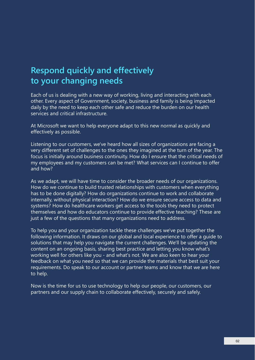### **Respond quickly and effectively to your changing needs**

Each of us is dealing with a new way of working, living and interacting with each other. Every aspect of Government, society, business and family is being impacted daily by the need to keep each other safe and reduce the burden on our health services and critical infrastructure.

At Microsoft we want to help everyone adapt to this new normal as quickly and effectively as possible.

Listening to our customers, we've heard how all sizes of organizations are facing a very different set of challenges to the ones they imagined at the turn of the year. The focus is initially around business continuity. How do I ensure that the critical needs of my employees and my customers can be met? What services can I continue to offer and how?

As we adapt, we will have time to consider the broader needs of our organizations. How do we continue to build trusted relationships with customers when everything has to be done digitally? How do organizations continue to work and collaborate internally, without physical interaction? How do we ensure secure access to data and systems? How do healthcare workers get access to the tools they need to protect themselves and how do educators continue to provide effective teaching? These are just a few of the questions that many organizations need to address.

To help you and your organization tackle these challenges we've put together the following information. It draws on our global and local experience to offer a guide to solutions that may help you navigate the current challenges. We'll be updating the content on an ongoing basis, sharing best practice and letting you know what's working well for others like you - and what's not. We are also keen to hear your feedback on what you need so that we can provide the materials that best suit your requirements. Do speak to our account or partner teams and know that we are here to help.

Now is the time for us to use technology to help our people, our customers, our partners and our supply chain to collaborate effectively, securely and safely.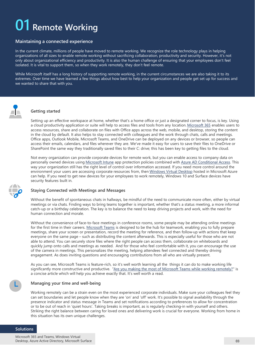### <span id="page-3-0"></span>**01 Remote Working**

#### **Maintaining a connected experience**

In the current climate, millions of people have moved to remote working. We recognize the role technology plays in helping organizations of all sizes to enable remote working without sacrificing collaboration, productivity and security. However, it's not only about organizational efficiency and productivity. It is also the human challenge of ensuring that your employees don't feel isolated. It is vital to support them, so when they work remotely, they don't feel remote.

While Microsoft itself has a long history of supporting remote working, in the current circumstances we are also taking it to its extremes. Over time we have learned a few things about how best to help your organization and people get set up for success and we wanted to share that with you.



#### **Getting started**

Setting up an effective workspace at home, whether that's a home office or just a designated corner to focus, is key. Using a cloud productivity application or suite will help to access files and tools from any location. [Microsoft 365](https://www.microsoft.com/en/microsoft-365) enables users to access resources, share and collaborate on files with Office apps across the web, mobile, and desktop, storing the content in the cloud by default. It also helps to stay connected with colleagues and the work through chats, calls and meetings. Office apps, Outlook Mobile, Microsoft Teams, and OneDrive can be deployed on any devices or browser, so people can access their emails, calendars, and files wherever they are. We've made it easy for users to save their files to OneDrive or SharePoint the same way they traditionally saved files to their C: drive; this has been key to getting files to the cloud.

Not every organization can provide corporate devices for remote work, but you can enable access to company data on personally owned devices using [Microsoft Intune](https://www.microsoft.com/en/microsoft-365/enterprise-mobility-security/microsoft-intune) app protection policies combined with [Azure AD Conditional Access](https://docs.microsoft.com/en-us/azure/active-directory/conditional-access/). This way your organization still has the right level of control over information accessed. If you need more control around the environment your users are accessing corporate resources from, then [Windows Virtual Desktop](https://azure.microsoft.com/en-us/services/virtual-desktop/) hosted in Microsoft Azure can help. If you need to get new devices for your employees to work remotely, Windows 10 and Surface devices have security features built in.



#### **Staying Connected with Meetings and Messages**

Without the benefit of spontaneous chats in hallways, be mindful of the need to communicate more often, either by virtual meetings or via chats. Finding ways to bring teams together is important, whether that's a status meeting, a more informal catch-up or a birthday celebration. The key is to balance the need to keep driving projects and work, with the need for human connection and morale.

Without the convenience of face-to-face meetings in conference rooms, some people may be attending online meetings for the first time in their careers. [Microsoft Teams](https://products.office.com/en/microsoft-teams/group-chat-software) is designed to be the hub for teamwork, enabling you to fully prepare meetings, share your screen or presentation, record the meeting for reference, and then follow-up with actions that keep everyone on the same page – such as distributing the content afterwards. This is especially useful for those who are not able to attend. You can securely store files where the right people can access them, collaborate on whiteboards and quickly jump onto calls and meetings as needed. And for those who feel comfortable with it, you can encourage the use of the camera in meetings. This personalizes the meeting, helping attendees feel connected and thereby driving engagement. As does inviting questions and encouraging contributions from all who are virtually present.

As you can see, Microsoft Teams is feature-rich, so it's well worth learning all the things it can do to make working life significantly more constructive and productive. ["Are you making the most of Microsoft Teams while working remotely?](https://pulse.microsoft.com/en/work-productivity-en/na/fa2-are-you-making-the-most-of-microsoft-teams-while-working-remotely/)" is a concise article which will help you achieve exactly that. It's well worth a read.

#### **Managing your time and well-being**

Working remotely can be a strain even on the most experienced corporate individuals. Make sure your colleagues feel they can set boundaries and let people know when they are 'on' and 'off' work. It's possible to signal availability through the presence indicator and status message in Teams and set notifications according to preferences to allow for concentration or to be out of reach in 'quiet hours'. Taking breaks is important, as is regularly checking-in with yourself and others. Striking the right balance between caring for loved ones and delivering work is crucial for everyone. Working from home in this situation has its own unique challenges.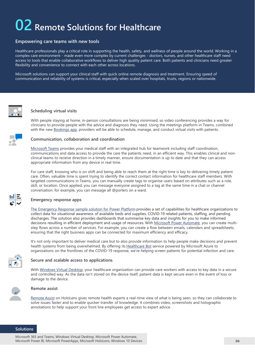### <span id="page-4-0"></span>**02 Remote Solutions for Healthcare**

#### **Empowering care teams with new tools**

Healthcare professionals play a critical role in supporting the health, safety, and wellness of people around the world. Working in a complex care environment - made even more complex by current challenges - doctors, nurses, and other healthcare staff need access to tools that enable collaborative workflows to deliver high quality patient care. Both patients and clinicians need greater flexibility and convenience to connect with each other across locations.

Microsoft solutions can support your clinical staff with quick online remote diagnosis and treatment. Ensuring speed of communication and reliability of systems is critical, especially when scaled over hospitals, trusts, regions or nationwide.



#### **Scheduling virtual visits**

With people staying at home, in-person consultations are being minimised, so video conferencing provides a way for clinicians to provide people with the advice and diagnosis they need. Using the meetings platform in Teams, combined with the new [Bookings app,](https://www.microsoft.com/en-us/microsoft-365/blog/2020/03/06/empowering-care-teams-with-new-tools-in-microsoft-365/) providers will be able to schedule, manage, and conduct virtual visits with patients.



#### **Communication, collaboration and coordination**

[Microsoft Teams](https://teamworktools.azurewebsites.net/hc/index.html) provides your medical staff with an integrated hub for teamwork including staff coordination, communications and data access to provide the care the patients need, in an efficient way. This enables clinical and nonclinical teams to receive direction in a timely manner, ensure documentation is up to date and that they can access appropriate information from any device in real time.

For care staff, knowing who is on shift and being able to reach them at the right time is key to delivering timely patient care. Often, valuable time is spent trying to identify the correct contact information for healthcare staff members. With targeted communications in Teams, you can manually create tags to organise users based on attributes such as a role, skill, or location. Once applied, you can message everyone assigned to a tag at the same time in a chat or channel conversation: for example, you can message all @porters on a ward.

#### **Emergency response apps**

[The Emergency Response sample solution for Power Platform](https://nam06.safelinks.protection.outlook.com/?url=https%3A%2F%2Freview.docs.microsoft.com%2Fen-us%2Fpowerapps%2Fsample-apps%2Femergency-response%2Foverview%3Fbranch%3Der-app&data=02%7C01%7CErika.ReyRaab%40microsoft.com%7C37a18ee5597a428d762e08d7d17c5913%7C72f988bf86f141af91ab2d7cd011db47%7C1%7C0%7C637208204488518790&sdata=8CHY%2B5hwu1ND7FMyrHCWilANAM3Mezyt92PPjPvdac0%3D&reserved=0) provides a set of capabilities for healthcare organizations to collect data for situational awareness of available beds and supplies, COVID-19 related patients, staffing, and pending discharges. The solution also provides dashboards that summarise key data and insights for you to make informed decisions resulting in efficient deployment and usage of resources. With [Microsoft Power Automate](https://flow.microsoft.com/), you can create multistep flows across a number of services. For example, you can create a flow between emails, calendars and spreadsheets, ensuring that the right business apps can be connected for maximum efficiency and efficacy.

It's not only important to deliver medical care but to also provide information to help people make decisions and prevent health systems from being overwhelmed. By offering its [Healthcare Bot](https://azuremarketplace.microsoft.com/en-us/marketplace/apps/microsoft-hcb.microsofthealthcarebot) service powered by Microsoft Azure to organizations on the frontlines of the COVID-19 response, we're helping screen patients for potential infection and care.

#### **Secure and scalable access to applications**

With [Windows Virtual Desktop](https://azure.microsoft.com/en-us/services/virtual-desktop/), your healthcare organization can provide care workers with access to key data in a secure and controlled way. As the data isn't stored on the device itself, patient data is kept secure even in the event of loss or damage to the device.



#### **Remote assist**

[Remote Assist](https://dynamics.microsoft.com/en-us/mixed-reality/remote-assist/) on HoloLens gives remote health experts a real-time view of what is being seen, so they can collaborate to solve issues faster and to enable quicker transfer of knowledge. It combines video, screenshots and holographic annotations to help support your front line employees get access to expert advice.

**Solutions**

Microsoft 365 and Teams, Windows Virtual Desktop, Microsoft Power Automate, Microsoft Power BI, Microsoft PowerApps, Microsoft HoloLens, Windows 10 Devices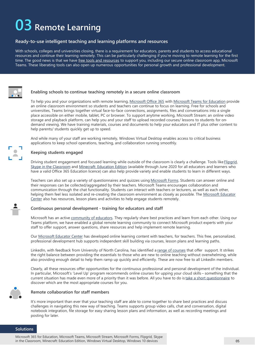### <span id="page-5-0"></span>**03 Remote Learning**

#### **Ready-to-use intelligent teaching and learning platforms and resources**

With schools, colleges and universities closing, there is a requirement for educators, parents and students to access educational resources and continue their learning remotely. This can be particularly challenging if you're moving to remote learning for the first time. The good news is that we have [free tools and resources](https://www.microsoft.com/en-us/education/remote-learning) to support you, including our secure online classroom app, Microsoft Teams. These liberating tools can also open up numerous opportunities for personal growth and professional development.



#### **Enabling schools to continue teaching remotely in a secure online classroom**

To help you and your organizations with remote learning, [Microsoft Office 365](https://www.microsoft.com/en-us/education/products/office) with [Microsoft Teams for Education](https://www.microsoft.com/en-us/education/products/teams) provide an online classroom environment so students and teachers can continue to focus on learning. Free for schools and universities, Teams brings together virtual face-to-face connections, assignments, files and conversations into a single place accessible on either mobile, tablet, PC or browser. To support anytime working, Microsoft Stream: an online video storage and playback platform, can help you and your staff to upload recorded courses/ lessons to students for ondemand viewing. We have training materials, courses and documents to help your educators and IT plus other content to help parents/ students quickly get up to speed.

And while many of your staff are working remotely, Windows Virtual Desktop enables access to critical business applications to keep school operations, teaching, and collaboration running smoothly.

#### **Keeping students engaged**

Driving student engagement and focused learning while outside of the classroom is clearly a challenge. Tools like [Flipgrid](https://blog.flipgrid.com/remotelearning), [Skype in the Classroom](https://education.skype.com/) and [Minecraft: Education Edition](https://education.minecraft.net/blog/microsoft-extends-access-to-minecraft-education-edition-and-resources-to-support-remote-learning/) (available through June 2020 for all educators and learners who have a valid Office 365 Education licence) can also help provide variety and enable students to learn in different ways.

Teachers can also set up a variety of questionnaires and quizzes using [Microsoft Forms.](https://support.office.com/en-us/article/microsoft-forms-for-education-8580c114-fae7-4f3c-9c18-9db984f3d547) Students can answer online and their responses can be collected/aggregated by their teachers. Microsoft Teams encourages collaboration and communication through the chat functionality. Students can interact with teachers or lecturers, as well as each other, [helping them feel less isolated and re-creating the classroom environment as closely as possible. The Microsoft Educator](https://education.microsoft.com/en-us)  Center also has resources, lesson plans and activities to help engage students remotely.

#### **Continuous personal development - training for educators and staff**

Microsoft has an active [community of educators.](https://educationblog.microsoft.com/en-us/tag/microsoft-educator-community/) They regularly share best practices and learn from each other. Using our Teams platform, we have enabled a global remote learning community to connect Microsoft product experts with your staff to offer support, answer questions, share resources and help implement remote learning.

Our [Microsoft Educator Center](https://education.microsoft.com/en-us) has developed online learning content with teachers, for teachers. This free, personalized, professional development hub supports independent skill building via courses, lesson plans and learning paths.

LinkedIn, with feedback from University of North Carolina, has identified a [range of courses](https://learning.linkedin.com/blog/learning-thought-leadership/suddenly-teaching-online--free-resources-to-help-faculty-affecte) that offer support. It strikes the right balance between providing the essentials to those who are new to online teaching without overwhelming, while also providing enough detail to help them ramp up quickly and efficiently. These are now free to all LinkedIn members.

Clearly, all these resources offer opportunities for the continuous professional and personal development of the individual. In particular, Microsoft's 'Level Up' program recommends online courses for upping your cloud skills – something that the current situation has made even more of a priority than it was before. All you have to do is [take a short questionnaire](https://www.microsoft.com/skills/) to discover which are the most appropriate courses for you.



#### **Remote collaboration for staff members**

It's more important than ever that your teaching staff are able to come together to share best practices and discuss challenges in navigating this new way of teaching. Teams supports group video calls, chat and conversation, digital notebook integration, file storage for easy sharing lesson plans and information, as well as recording meetings and posting for later.

#### **Solutions**

Microsoft 365 for Education, Microsoft Teams, Microsoft Stream, Microsoft Forms, Flipgrid, Skype in the Classroom, Minecraft: Education Edition, Windows Virtual Desktop, Windows 10 devices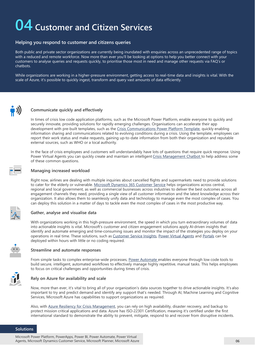### <span id="page-6-0"></span>**04 Customer and Citizen Services**

#### **Helping you respond to customer and citizens queries**

Both public and private sector organizations are currently being inundated with enquiries across an unprecedented range of topics with a reduced and remote workforce. Now more than ever you'll be looking at options to help you better connect with your customers to analyse queries and requests quickly, to prioritise those most in need and manage other requests via FAQ's or chathots

While organizations are working in a higher-pressure environment, getting access to real-time data and insights is vital. With the scale of Azure, it's possible to quickly ingest, transform and query vast amounts of data efficiently.



#### **Communicate quickly and effectively**

In times of crisis low code application platforms, such as the Microsoft Power Platform, enable everyone to quickly and securely innovate, providing solutions for rapidly emerging challenges. Organisations can accelerate their app development with pre-built templates, such as the [Crisis Communications Power Platform Template](https://powerapps.microsoft.com/en-us/blog/crisis-communication-a-power-platform-template/), quickly enabling information sharing and communications related to evolving conditions during a crisis. Using the template, employees can report their work status and make requests, gaining up-to-date information from both their organization and reputable external sources, such as WHO or a local authority.

In the face of crisis employees and customers will understandably have lots of questions that require quick response. Using Power Virtual Agents you can quickly create and maintain an intelligent [Crisis Management Chatbot](https://powervirtualagents.microsoft.com/en-us/blog/building-a-crisis-faq-bot-using-power-virtual-agents/) to help address some of these common questions.



#### **Managing increased workload**

Right now, airlines are dealing with multiple inquiries about cancelled flights and supermarkets need to provide solutions to cater for the elderly or vulnerable. [Microsoft Dynamics 365 Customer Service](https://dynamics.microsoft.com/en-us/customer-service/overview/) helps organizations across central, regional and local government, as well as commercial businesses across industries to deliver the best outcomes across all engagement channels they need, providing a single view of all customer information and the latest knowledge across their organization. It also allows them to seamlessly unify data and technology to manage even the most complex of cases. You can deploy this solution in a matter of days to tackle even the most complex of cases in the most productive way.



#### **Gather, analyse and visualise data**

With organizations working in this high-pressure environment, the speed in which you turn extraordinary volumes of data into actionable insights is vital. Microsoft's customer and citizen engagement solutions apply AI-driven insights that identify and automate emerging and time-consuming issues and monitor the impact of the strategies you deploy on your operations in real time. These solutions, such as [Customer Service Insights,](https://dynamics.microsoft.com/en-us/ai/customer-service-insights/) [Power Virtual Agents](https://powervirtualagents.microsoft.com/en-us/) and [Portals](https://powerapps.microsoft.com/en-us/portals/) can be deployed within hours with little or no coding required.



#### **Streamline and automate responses**

From simple tasks to complex enterprise-wide processes, [Power Automate](https://flow.microsoft.com/en-us/) enables everyone through low code tools to build secure, intelligent, automated workflows to effectively manage highly repetitive, manual tasks. This helps employees to focus on critical challenges and opportunities during times of crisis.



#### **Rely on Azure for availability and scale**

Now, more than ever, it's vital to bring all of your organization's data sources together to drive actionable insights. It's also important to try and predict demand and identify any support that's needed. Through AI, Machine Learning and Cognitive Services, Microsoft Azure has capabilities to support organizations as required.

Also, with [Azure Resiliency for Crisis Management,](https://azure.microsoft.com/en-us/features/resiliency/) you can rely on high availability, disaster recovery, and backup to protect mission critical applications and data. Azure has ISO-22301 Certification, meaning it's certified under the first international standard to demonstrate the ability to prevent, mitigate, respond to and recover from disruptive incidents.

**Solutions**

Microsoft Power Platform, PowerApps, Power BI, Power Automate, Power Virtual Agents, Microsoft Dynamics Customer Service, Microsoft Planner, Microsoft Azure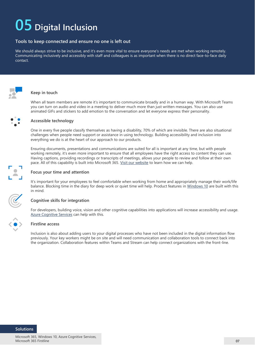## <span id="page-7-0"></span>**05 Digital Inclusion**

#### **Tools to keep connected and ensure no one is left out**

We should always strive to be inclusive, and it's even more vital to ensure everyone's needs are met when working remotely. Communicating inclusively and accessibly with staff and colleagues is as important when there is no direct face-to-face daily contact.



#### **Keep in touch**

When all team members are remote it's important to communicate broadly and in a human way. With Microsoft Teams you can turn on audio and video in a meeting to deliver much more than just written messages. You can also use animated GIFs and stickers to add emotion to the conversation and let everyone express their personality.



#### **Accessible technology**

One in every five people classify themselves as having a disability, 70% of which are invisible. There are also situational challenges when people need support or assistance in using technology. Building accessibility and inclusion into everything we do is at the heart of our approach to our products.

Ensuring documents, presentations and communications are suited for all is important at any time, but with people working remotely, it's even more important to ensure that all employees have the right access to content they can use. Having captions, providing recordings or transcripts of meetings, allows your people to review and follow at their own pace. All of this capability is built into Microsoft 365. [Visit our website](https://www.microsoft.com/en-us/accessibility/office) to learn how we can help.



#### **Focus your time and attention**

It's important for your employees to feel comfortable when working from home and appropriately manage their work/life balance. Blocking time in the diary for deep work or quiet time will help. Product features in [Windows 10](https://www.microsoft.com/en-us/accessibility/windows) are built with this in mind.

#### **Cognitive skills for integration**

For developers, building voice, vision and other cognitive capabilities into applications will increase accessibility and usage. [Azure Cognitive Services](https://azure.microsoft.com/en-us/services/cognitive-services/) can help with this.

#### **Firstline access**

Inclusion is also about adding users to your digital processes who have not been included in the digital information flow previously. Your key workers might be on site and will need communication and collaboration tools to connect back into the organization. Collaboration features within Teams and Stream can help connect organizations with the front-line.

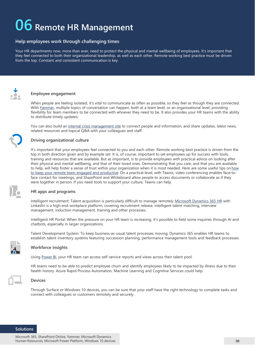### <span id="page-8-0"></span>**06 Remote HR Management**

#### **Help employees work through challenging times**

Your HR departments now, more than ever, need to protect the physical and mental wellbeing of employees. It's important that they feel connected to both their organizational leadership, as well as each other. Remote working best practice must be driven from the top. Constant and consistent communication is key.



#### **Employee engagement**

When people are feeling isolated, it's vital to communicate as often as possible, so they feel as though they are connected. With [Yammer,](https://products.office.com/en/yammer/yammer-overview) multiple topics of conversation can happen, both at a team level, or an organizational level, providing flexibility for team members to be connected with whoever they need to be. It also provides your HR teams with the ability to distribute timely updates.

You can also build an [internal crisis management site](https://techcommunity.microsoft.com/t5/microsoft-sharepoint-blog/build-a-crisis-management-site-to-connect-people-and-information/ba-p/1216791) to connect people and information, and share updates, latest news, related resources and topical Q&A with your colleagues and staff.

#### **Driving organizational culture**

It's important that your employees feel connected to you and each other. Remote working best practice is driven from the top in both direction given and by example set. It is, of course, important to set employees up for success with tools, training and resources that are available. But as important, is to provide employees with practical advice on looking after their physical and mental wellbeing, and that of their loved ones. Demonstrating that you care, and that you are available to help, will help foster a sense of trust within your organization when it is most needed. Here are some useful tips on how [to keep your remote team engaged and productive. On a practical level, with Teams, video conferencing enables face-to](https://pulse.microsoft.com/en/work-productivity-en/na/fa2-5-ways-to-keep-employees-engaged-and-productive/)face contact for meetings, and SharePoint and Whiteboard allow people to access documents or collaborate as if they were together in person. If you need tools to support your culture, Teams can help.



#### **HR apps and programs**

Intelligent recruitment: Talent acquisition is particularly difficult to manage remotely. [Microsoft Dynamics 365 HR](https://dynamics.microsoft.com/en-us/human-resources/overview/) with LinkedIn is a high-end workplace platform, covering recruitment release, intelligent talent matching, interview management, induction management, training and other processes.

Intelligent HR Portal: When the pressure on your HR team is increasing, it's possible to field some inquiries through AI and chatbots, especially in larger organizations.

Talent Development System: To keep business-as-usual talent processes moving, Dynamics 365 enables HR teams to establish talent inventory systems featuring succession planning, performance management tools and feedback processes.

#### **Workforce insights**

Using [Power BI,](https://powerbi.microsoft.com/en-us/) your HR team can access self-service reports and views across their talent pool.

HR teams need to be able to predict employee churn and identify employees likely to be impacted by illness due to their health history. Azure Rapid Process Automation, Machine Learning and Cognitive Services could help.



#### **Devices**

Through Surface or Windows 10 devices, you can be sure that your staff have the right technology to complete tasks and connect with colleagues or customers remotely and securely.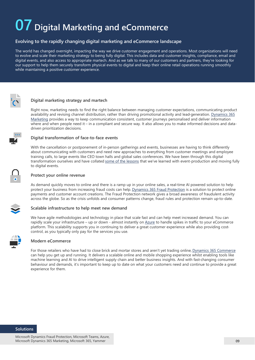# <span id="page-9-0"></span>**07 Digital Marketing and eCommerce**

#### **Evolving to the rapidly changing digital marketing and eCommerce landscape**

The world has changed overnight, impacting the way we drive customer engagement and operations. Most organizations will need to evolve and scale their marketing strategy to being fully digital. This includes data and customer insights, compliance, email and digital events, and also access to appropriate martech. And as we talk to many of our customers and partners, they're looking for our support to help them securely transform physical events to digital and keep their online retail operations running smoothly while maintaining a positive customer experience.



#### **Digital marketing strategy and martech**

Right now, marketing needs to find the right balance between managing customer expectations, communicating product [availability and revising channel distribution, rather than driving promotional activity and lead-generation. Dynamics 365](https://dynamics.microsoft.com/en-us/marketing/overview/) Marketing provides a way to keep communication consistent, customer journeys personalised and deliver information where and when people need it – in a compliant and secure way. It also allows you to make informed decisions and datadriven prioritization decisions.



#### **Digital transformation of face-to-face events**

With the cancellation or postponement of in-person gatherings and events, businesses are having to think differently about communicating with customers and need new approaches to everything from customer meetings and employee training calls, to large events like CEO town halls and global sales conferences. We have been through this digital transformation ourselves and have collated [some of the lessons](https://www.microsoft.com/en-us/microsoft-365/blog/2020/03/13/digital-transformation-live-events-bob-bejans-observations-frontline/) that we've learned with event-production and moving fully to digital events.



#### **Protect your online revenue**

As demand quickly moves to online and there is a ramp up in your online sales, a real-time AI powered solution to help protect your business from increasing fraud costs can help. [Dynamics 365 Fraud Protection](https://dynamics.microsoft.com/en-us/ai/fraud-protection/) is a solution to protect online payments and customer account creations. The Fraud Protection network gives a broad awareness of fraudulent activity across the globe. So as the crisis unfolds and consumer patterns change, fraud rules and protection remain up-to-date.

#### **Scalable infrastructure to help meet new demand**

We have agile methodologies and technology in place that scale fast and can help meet increased demand. You can rapidly scale your infrastructure – up or down - almost instantly on [Azure](https://azure.microsoft.com/en-us/industries/retailers/) to handle spikes in traffic to your eCommerce platform. This scalability supports you in continuing to deliver a great customer experience while also providing costcontrol, as you typically only pay for the services you use.



#### **Modern eCommerce**

For those retailers who have had to close brick and mortar stores and aren't yet trading online, [Dynamics 365 Commerce](https://dynamics.microsoft.com/en-us/commerce/overview/) can help you get up and running. It delivers a scalable online and mobile shopping experience whilst enabling tools like machine learning and AI to drive intelligent supply chain and better business insights. And with fast-changing consumer behaviour and demands, it's important to keep up to date on what your customers need and continue to provide a great experience for them.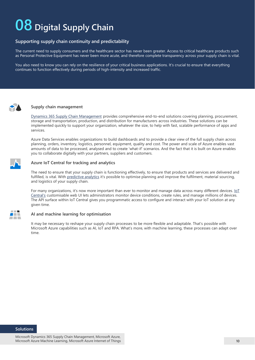### <span id="page-10-0"></span>**08 Digital Supply Chain**

#### **Supporting supply chain continuity and predictability**

The current need to supply consumers and the healthcare sector has never been greater. Access to critical healthcare products such as Personal Protective Equipment has never been more acute, and therefore complete transparency across your supply chain is vital.

You also need to know you can rely on the resilience of your critical business applications. It's crucial to ensure that everything continues to function effectively during periods of high-intensity and increased traffic.



#### **Supply chain management**

[Dynamics 365 Supply Chain Management](https://dynamics.microsoft.com/en-us/supply-chain-management/overview/) provides comprehensive end-to-end solutions covering planning, procurement, storage and transportation, production, and distribution for manufacturers across industries. These solutions can be implemented quickly to support your organization, whatever the size, to help with fast, scalable performance of apps and services.

Azure Data Services enables organizations to build dashboards and to provide a clear view of the full supply chain across planning, orders, inventory, logistics, personnel, equipment, quality and cost. The power and scale of Azure enables vast amounts of data to be processed, analysed and to create 'what-if' scenarios. And the fact that it is built on Azure enables you to collaborate digitally with your partners, suppliers and customers.



#### **Azure IoT Central for tracking and analytics**

The need to ensure that your supply chain is functioning effectively, to ensure that products and services are delivered and fulfilled, is vital. With [predictive analytics](https://docs.microsoft.com/en-us/azure/architecture/data-guide/scenarios/advanced-analytics) it's possible to optimise planning and improve the fulfilment, material sourcing, and logistics of your supply chain.

For many organizations, it's now more important than ever to monitor and manage data across many different devices. IoT Central's [customisable web UI lets administrators monitor device conditions, create rules, and manage millions of devices.](https://azure.microsoft.com/en-us/services/iot-central/)  The API surface within IoT Central gives you programmatic access to configure and interact with your IoT solution at any given time.



#### **AI and machine learning for optimisation**

It may be necessary to reshape your supply chain processes to be more flexible and adaptable. That's possible with Microsoft Azure capabilities such as AI, IoT and RPA. What's more, with machine learning, these processes can adapt over time.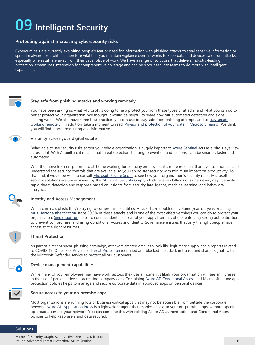### <span id="page-11-0"></span>**09 Intelligent Security**

#### **Protecting against increasing cybersecurity risks**

Cybercriminals are currently exploiting people's fear or need for information with phishing attacks to steal sensitive information or spread malware for profit. It's therefore vital that you maintain vigilance over networks to keep data and devices safe from attacks, especially when staff are away from their usual place of work. We have a range of solutions that delivers industry-leading protection, streamlines integration for comprehensive coverage and can help your security teams to do more with intelligent capabilities.



#### **Stay safe from phishing attacks and working remotely**

You have been asking us what Microsoft is doing to help protect you from these types of attacks, and what you can do to better protect your organization. We thought it would be helpful to share how our automated detection and signal[sharing works. We also have some best practices you can use to stay safe from phishing attempts and to stay secure](https://www.microsoft.com/security/blog/2020/03/20/protecting-against-coronavirus-themed-phishing-attacks/) working remotely. In addition, take a moment to read '[Privacy and protection of your data in Microsoft Teams](https://pulse.microsoft.com/en/work-productivity-en/na/fa2-privacy-and-protection-of-your-data-in-microsoft-teams/)'. We think you will find it both reassuring and informative.



#### **Visibility across your digital estate**

Being able to see security risks across your whole organization is hugely important. [Azure Sentinel](https://azure.microsoft.com/en-us/services/azure-sentinel/) acts as a bird's-eye view across of it. With AI built-in, it means that threat detection, hunting, prevention and response can be smarter, faster and automated.

With the move from on-premise to at-home working for so many employees, it's more essential than ever to prioritize and understand the security controls that are available, so you can bolster security with minimum impact on productivity. To that end, it would be wise to consult [Microsoft Secure Score](https://pulse.microsoft.com/en/work-productivity-en/na/fa1-this-is-serious-so-is-your-secure-score/) to see how your organization's security rates. Microsoft security solutions are underpinned by the [Microsoft Security Graph](http://cloud-platform-assets.azurewebsites.net/intelligent-security-graph/), which receives billions of signals every day. It enables rapid threat detection and response based on insights from security intelligence, machine learning, and behavioral analytics.

#### **Identity and Access Management**

When criminals phish, they're trying to compromise identities. Attacks have doubled in volume year-on-year. Enabling [multi-factor authentication](https://www.microsoft.com/en/security/business/identity/mfa) stops 99.9% of these attacks and is one of the most effective things you can do to protect your organization. [Single sign-on](https://docs.microsoft.com/en-us/azure/active-directory/manage-apps/) helps to connect identities to all of your apps from anywhere, enforcing strong authentication to prevent compromise, and using Conditional Access and Identity Governance ensures that only the right people have access to the right resources.



#### **Threat Protection**

As part of a recent spear-phishing campaign, attackers created emails to look like legitimate supply-chain reports related to COVID-19. [Office 365 Advanced Threat Protection](https://products.office.com/en-us/exchange/advance-threat-protection) identified and blocked the attack in transit and shared signals with the Microsoft Defender service to protect all our customers.



#### **Device management capabilities**

While many of your employees may have work laptops they use at home, it's likely your organization will see an increase in the use of personal devices accessing company data. Combining [Azure AD Conditional Access](https://docs.microsoft.com/en-us/azure/active-directory/conditional-access/app-protection-based-conditional-access) and Microsoft Intune app protection policies helps to manage and secure corporate data in approved apps on personal devices.



#### **Secure access to your on-premise apps**

Most organizations are running lots of business-critical apps that may not be accessible from outside the corporate network. [Azure AD Application Proxy](https://docs.microsoft.com/en-us/azure/active-directory/manage-apps/what-is-application-proxy) is a lightweight agent that enables access to your on-premise apps, without opening up broad access to your network. You can combine this with existing Azure AD authentication and Conditional Access policies to help keep users and data secured.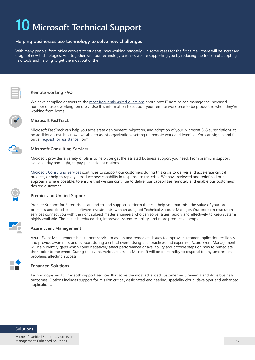# <span id="page-12-0"></span>**10 Microsoft Technical Support**

#### **Helping businesses use technology to solve new challenges**

With many people, from office workers to students, now working remotely - in some cases for the first time - there will be increased usage of new technologies. And together with our technology partners we are supporting you by reducing the friction of adopting new tools and helping to get the most out of them.



#### **Remote working FAQ**

We have compiled answers to the [most frequently asked questions](https://docs.microsoft.com/en-us/microsoftteams/faq-support-remote-workforce) about how IT admins can manage the increased number of users working remotely. Use this information to support your remote workforce to be productive when they're working from home.



#### **Microsoft FastTrack**

Microsoft FastTrack can help you accelerate deployment, migration, and adoption of your Microsoft 365 subscriptions at no additional cost. It is now available to assist organizations setting up remote work and learning. You can sign in and fill out a '[request for assistance](https://fasttrack.microsoft.com/portal.html#/signin)' form.

#### **Microsoft Consulting Services**

Microsoft provides a variety of plans to help you get the assisted business support you need. From premium support available day and night, to pay-per-incident options.

[Microsoft Consulting Services c](https://www.microsoft.com/en-us/industry/services/consulting)ontinues to support our customers during this crisis to deliver and accelerate critical projects, or help to rapidly introduce new capability in response to the crisis. We have reviewed and redefined our approach, where possible, to ensure that we can continue to deliver our capabilities remotely and enable our customers' desired outcomes.

#### **Premier and Unified Support**

Premier Support for Enterprise is an end-to-end support platform that can help you maximise the value of your onpremises and cloud-based software investments, with an assigned Technical Account Manager. Our problem resolution services connect you with the right subject matter engineers who can solve issues rapidly and effectively to keep systems highly available. The result is reduced risk, improved system reliability, and more productive people.

#### **Azure Event Management**

Azure Event Management is a support service to assess and remediate issues to improve customer application resiliency and provide awareness and support during a critical event. Using best practices and expertise, Azure Event Management will help identify gaps which could negatively affect performance or availability and provide steps on how to remediate them prior to the event. During the event, various teams at Microsoft will be on standby to respond to any unforeseen problems affecting success.



#### **Enhanced Solutions**

Technology-specific, in-depth support services that solve the most advanced customer requirements and drive business outcomes. Options includes support for mission critical, designated engineering, speciality cloud, developer and enhanced applications.